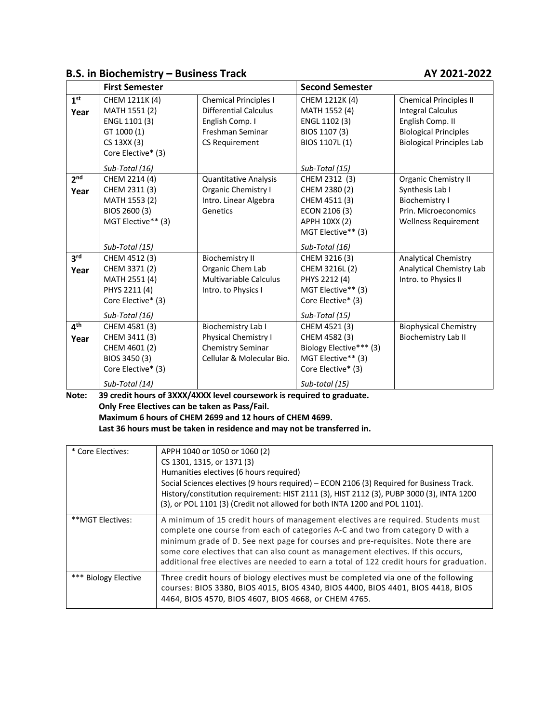# **B.S. in Biochemistry – Business Track AY 2021-2022**

|                 | <b>First Semester</b> |                               | <b>Second Semester</b>  |                                  |
|-----------------|-----------------------|-------------------------------|-------------------------|----------------------------------|
| 1 <sup>st</sup> | CHEM 1211K (4)        | <b>Chemical Principles I</b>  | CHEM 1212K (4)          | <b>Chemical Principles II</b>    |
| Year            | MATH 1551 (2)         | <b>Differential Calculus</b>  | MATH 1552 (4)           | <b>Integral Calculus</b>         |
|                 | ENGL 1101 (3)         | English Comp. I               | ENGL 1102 (3)           | English Comp. II                 |
|                 | GT 1000 (1)           | Freshman Seminar              | BIOS 1107 (3)           | <b>Biological Principles</b>     |
|                 | CS 13XX (3)           | <b>CS Requirement</b>         | BIOS 1107L (1)          | <b>Biological Principles Lab</b> |
|                 | Core Elective* (3)    |                               |                         |                                  |
|                 | Sub-Total (16)        |                               | Sub-Total (15)          |                                  |
| 2 <sub>nd</sub> | CHEM 2214 (4)         | Quantitative Analysis         | CHEM 2312 (3)           | Organic Chemistry II             |
| Year            | CHEM 2311 (3)         | Organic Chemistry I           | CHEM 2380 (2)           | Synthesis Lab I                  |
|                 | MATH 1553 (2)         | Intro. Linear Algebra         | CHEM 4511 (3)           | <b>Biochemistry I</b>            |
|                 | BIOS 2600 (3)         | Genetics                      | ECON 2106 (3)           | Prin. Microeconomics             |
|                 | MGT Elective** (3)    |                               | APPH 10XX (2)           | <b>Wellness Requirement</b>      |
|                 |                       |                               | MGT Elective** (3)      |                                  |
|                 | Sub-Total (15)        |                               | Sub-Total (16)          |                                  |
| 3 <sup>rd</sup> | CHEM 4512 (3)         | <b>Biochemistry II</b>        | CHEM 3216 (3)           | <b>Analytical Chemistry</b>      |
| Year            | CHEM 3371 (2)         | Organic Chem Lab              | CHEM 3216L (2)          | Analytical Chemistry Lab         |
|                 | MATH 2551 (4)         | <b>Multivariable Calculus</b> | PHYS 2212 (4)           | Intro. to Physics II             |
|                 | PHYS 2211 (4)         | Intro. to Physics I           | MGT Elective** (3)      |                                  |
|                 | Core Elective* (3)    |                               | Core Elective* (3)      |                                  |
|                 | Sub-Total (16)        |                               | Sub-Total (15)          |                                  |
| 4 <sup>th</sup> | CHEM 4581 (3)         | Biochemistry Lab I            | CHEM 4521 (3)           | <b>Biophysical Chemistry</b>     |
| Year            | CHEM 3411 (3)         | <b>Physical Chemistry I</b>   | CHEM 4582 (3)           | <b>Biochemistry Lab II</b>       |
|                 | CHEM 4601 (2)         | Chemistry Seminar             | Biology Elective*** (3) |                                  |
|                 | BIOS 3450 (3)         | Cellular & Molecular Bio.     | MGT Elective** (3)      |                                  |
|                 | Core Elective* (3)    |                               | Core Elective* (3)      |                                  |
|                 | Sub-Total (14)        |                               | Sub-total (15)          |                                  |

**Note: 39 credit hours of 3XXX/4XXX level coursework is required to graduate. Only Free Electives can be taken as Pass/Fail. Maximum 6 hours of CHEM 2699 and 12 hours of CHEM 4699. Last 36 hours must be taken in residence and may not be transferred in.**

| * Core Electives:    | APPH 1040 or 1050 or 1060 (2)<br>CS 1301, 1315, or 1371 (3)<br>Humanities electives (6 hours required)<br>Social Sciences electives (9 hours required) – ECON 2106 (3) Required for Business Track.<br>History/constitution requirement: HIST 2111 (3), HIST 2112 (3), PUBP 3000 (3), INTA 1200<br>(3), or POL 1101 (3) (Credit not allowed for both INTA 1200 and POL 1101).                                                          |
|----------------------|----------------------------------------------------------------------------------------------------------------------------------------------------------------------------------------------------------------------------------------------------------------------------------------------------------------------------------------------------------------------------------------------------------------------------------------|
| **MGT Electives:     | A minimum of 15 credit hours of management electives are required. Students must<br>complete one course from each of categories A-C and two from category D with a<br>minimum grade of D. See next page for courses and pre-requisites. Note there are<br>some core electives that can also count as management electives. If this occurs,<br>additional free electives are needed to earn a total of 122 credit hours for graduation. |
| *** Biology Elective | Three credit hours of biology electives must be completed via one of the following<br>courses: BIOS 3380, BIOS 4015, BIOS 4340, BIOS 4400, BIOS 4401, BIOS 4418, BIOS<br>4464, BIOS 4570, BIOS 4607, BIOS 4668, or CHEM 4765.                                                                                                                                                                                                          |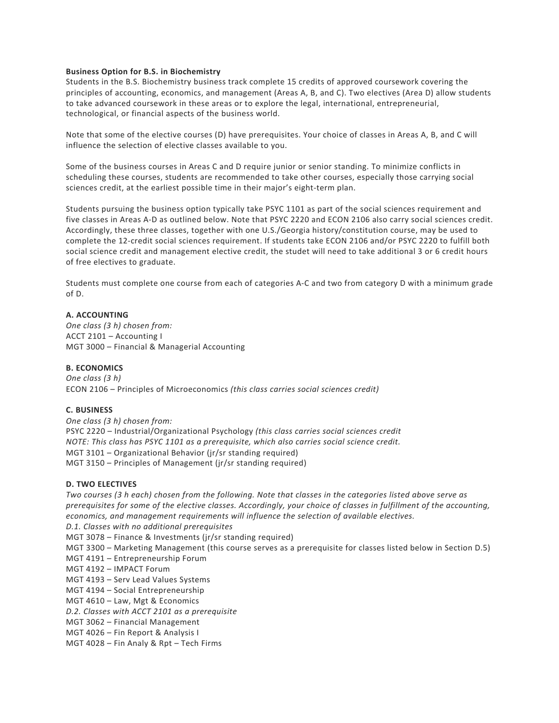### **Business Option for B.S. in Biochemistry**

Students in the B.S. Biochemistry business track complete 15 credits of approved coursework covering the principles of accounting, economics, and management (Areas A, B, and C). Two electives (Area D) allow students to take advanced coursework in these areas or to explore the legal, international, entrepreneurial, technological, or financial aspects of the business world.

Note that some of the elective courses (D) have prerequisites. Your choice of classes in Areas A, B, and C will influence the selection of elective classes available to you.

Some of the business courses in Areas C and D require junior or senior standing. To minimize conflicts in scheduling these courses, students are recommended to take other courses, especially those carrying social sciences credit, at the earliest possible time in their major's eight-term plan.

Students pursuing the business option typically take PSYC 1101 as part of the social sciences requirement and five classes in Areas A-D as outlined below. Note that PSYC 2220 and ECON 2106 also carry social sciences credit. Accordingly, these three classes, together with one U.S./Georgia history/constitution course, may be used to complete the 12-credit social sciences requirement. If students take ECON 2106 and/or PSYC 2220 to fulfill both social science credit and management elective credit, the studet will need to take additional 3 or 6 credit hours of free electives to graduate.

Students must complete one course from each of categories A-C and two from category D with a minimum grade of D.

## **A. ACCOUNTING**

*One class (3 h) chosen from:* ACCT 2101 – Accounting I MGT 3000 – Financial & Managerial Accounting

## **B. ECONOMICS**

*One class (3 h)* ECON 2106 – Principles of Microeconomics *(this class carries social sciences credit)*

#### **C. BUSINESS**

*One class (3 h) chosen from:* PSYC 2220 – Industrial/Organizational Psychology *(this class carries social sciences credit NOTE: This class has PSYC 1101 as a prerequisite, which also carries social science credit.* MGT 3101 – Organizational Behavior (jr/sr standing required) MGT 3150 – Principles of Management (jr/sr standing required)

#### **D. TWO ELECTIVES**

*Two courses (3 h each) chosen from the following. Note that classes in the categories listed above serve as prerequisites for some of the elective classes. Accordingly, your choice of classes in fulfillment of the accounting, economics, and management requirements will influence the selection of available electives.*

*D.1. Classes with no additional prerequisites*

- MGT 3078 Finance & Investments (jr/sr standing required)
- MGT 3300 Marketing Management (this course serves as a prerequisite for classes listed below in Section D.5)
- MGT 4191 Entrepreneurship Forum
- MGT 4192 IMPACT Forum
- MGT 4193 Serv Lead Values Systems
- MGT 4194 Social Entrepreneurship
- MGT 4610 Law, Mgt & Economics
- *D.2. Classes with ACCT 2101 as a prerequisite*
- MGT 3062 Financial Management
- MGT 4026 Fin Report & Analysis I
- MGT 4028 Fin Analy & Rpt Tech Firms